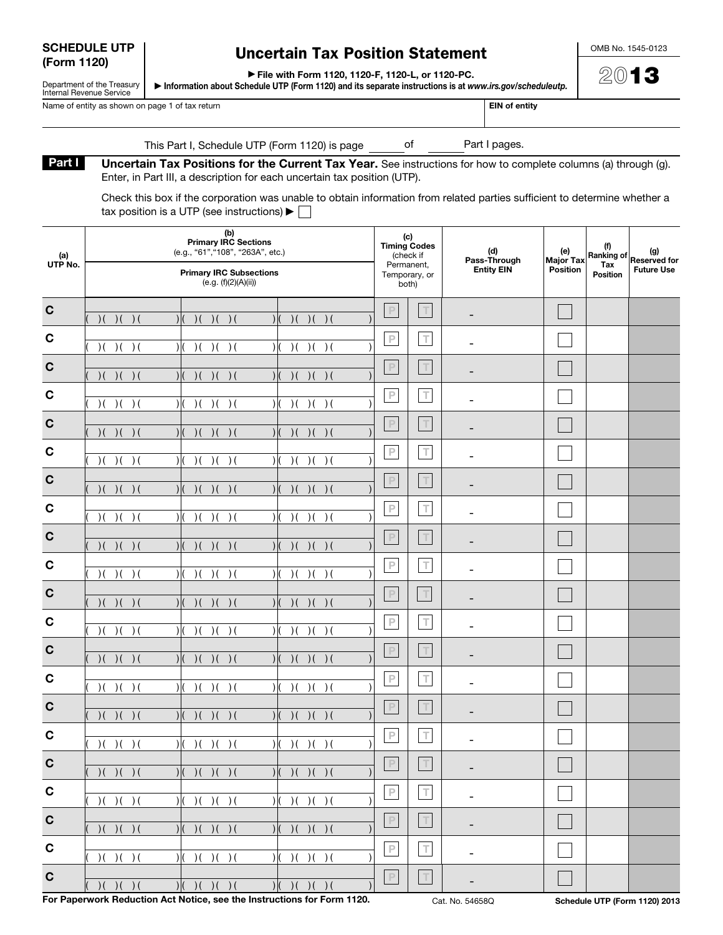| <b>SCHEDULE UTP</b> |  |
|---------------------|--|
| (Form 1120)         |  |

Department of the Treasury Internal Revenue Service

## Uncertain Tax Position Statement

OMB No. 1545-0123

▶ File with Form 1120, 1120-F, 1120-L, or 1120-PC.

▶ Information about Schedule UTP (Form 1120) and its separate instructions is at *www.irs.gov/scheduleutp.*

Name of entity as shown on page 1 of tax return EIN of entity and the IN of entity example of the IN of entity

| 2) (N) | 1 | ٠ |
|--------|---|---|
|        |   |   |

This Part I, Schedule UTP (Form 1120) is page of Part I pages.

Part I Uncertain Tax Positions for the Current Tax Year. See instructions for how to complete columns (a) through (g). Enter, in Part III, a description for each uncertain tax position (UTP).

Check this box if the corporation was unable to obtain information from related parties sufficient to determine whether a tax position is a UTP (see instructions)  $\blacktriangleright \Box$ 

| (a)<br>UTP No.             | (b)<br><b>Primary IRC Sections</b><br>(e.g., "61", "108", "263A", etc.)<br><b>Primary IRC Subsections</b><br>(e.g. (f)(2)(A)(ii))    | (c)<br><b>Timing Codes</b><br>(check if<br>Permanent,<br>Temporary, or<br>both)                            |                  | (d)<br>Pass-Through<br><b>Entity EIN</b> | (e)<br><b>Major Tax</b><br><b>Position</b> | (f)<br>Tax<br><b>Position</b> | Ranking of Reserved for<br><b>Future Use</b> |
|----------------------------|--------------------------------------------------------------------------------------------------------------------------------------|------------------------------------------------------------------------------------------------------------|------------------|------------------------------------------|--------------------------------------------|-------------------------------|----------------------------------------------|
| $\mathbf C$                | )( ) ( ) ( )<br>)( ) ( ) ( )<br>)( ) ( ) ( )                                                                                         | $\mathbb P$                                                                                                | $\top$           |                                          |                                            |                               |                                              |
| $\mathbf c$                | )( )() ()<br>)( ) ( ) ( )<br>)( )<br>$\rightarrow$ (<br>$\mathcal{V}$                                                                | $\mathbb P$                                                                                                | $\top$           |                                          |                                            |                               |                                              |
| $\mathbf C$                | )( )() ()<br>)( ) ( ) ( )<br>)( )<br>$\rightarrow$ (                                                                                 | $\mathbb P$                                                                                                | $\top$           |                                          |                                            |                               |                                              |
| $\mathbf c$                | )( ) ( ) ( )<br>)( ) ( ) ( )<br>)( )<br>$\rightarrow$ (<br>$\mathcal{V}$                                                             | $\mathsf P$                                                                                                | $\top$           |                                          |                                            |                               |                                              |
| $\mathbf C$                | )( ) ( ) ( )<br>)( ) ( ) ( )<br>)( ) ( ) ( )                                                                                         | $\mathsf P$                                                                                                | $\top$           |                                          |                                            |                               |                                              |
| $\mathbf C$                | )( )() ()<br>)( ) ( ) ( )<br>$\mathcal{A}$<br>$)$ (<br>$\rightarrow$ (<br>$\mathcal{V}$                                              | $\mathbb P$                                                                                                | $\top$           |                                          |                                            |                               |                                              |
| $\mathbf C$                | )( ) ( ) ( )<br>)( ) ( ) ( )<br>)( )<br>$\rightarrow$ (                                                                              | $\mathbb P$                                                                                                | $\top$           |                                          |                                            |                               |                                              |
| $\mathbf c$                | )( )() ()<br>)( ) ( ) ( )<br>)( )<br>$\rightarrow$ (<br>$\mathcal{V}$                                                                | $\mathbb P$                                                                                                | $\top$           |                                          |                                            |                               |                                              |
| $\mathbf C$                | )( ) ( ) ( )<br>)( ) ( ) ( )<br>)( )<br>$\rightarrow$ (                                                                              | $\mathbb P$                                                                                                | $\top$           |                                          |                                            |                               |                                              |
| $\mathbf C$                | )( )() ()<br>)( ) ( ) ( )<br>)( )<br>$\rightarrow$ (<br>$\mathcal{V}$                                                                | $\mathbb P$                                                                                                | $\top$           |                                          |                                            |                               |                                              |
| $\mathbf C$                | )( ) ( ) ( )<br>)( ) ( ) ( )<br>)( ) ( ) ( )                                                                                         | $\mathsf P$                                                                                                | T                |                                          |                                            |                               |                                              |
| $\mathbf C$                | )( )() ()<br>)( ) ( ) ( )<br>)( )<br>$\rightarrow$ (<br>$\mathcal{V}$                                                                | $\mathbb P$                                                                                                | $\top$           |                                          |                                            |                               |                                              |
| $\mathbf C$                | )( ) ( ) ( )<br>)( ) ( ) ( )<br>)( ) ( ) ( )                                                                                         | $\mathbb P$                                                                                                | $\top$           |                                          |                                            |                               |                                              |
| $\mathbf C$<br>$\mathbf C$ | )( )() ()<br>)( ) ( ) ( )<br>)( )<br>$\rightarrow$ (<br>$\mathcal{V}$                                                                | $\mathsf P$<br>$\mathbb P$                                                                                 | $\top$<br>$\top$ |                                          |                                            |                               |                                              |
| $\mathbf C$                | )( ) ( ) ( )<br>)( ) ( ) ( )<br>)( ) ( ) ( )                                                                                         | $\mathsf{P}% _{T}=\mathsf{P}_{T}\!\left( a,b\right) ,\ \mathsf{P}_{T}=\mathsf{P}_{T}\!\left( a,b\right) ,$ | $\top$           |                                          |                                            |                               |                                              |
| $\mathbf C$                | )( ) ( ) ( )<br>)( )()()()<br>)( )() ()<br>$\mathcal{H}$                                                                             | $\mathbb P$                                                                                                | $\top$           |                                          |                                            |                               |                                              |
| $\mathbf C$                | )( ) ( ) ( )<br>)()()()()()()<br>)( ) ( ) ( ) ( ) ( )                                                                                | $\mathbb P$                                                                                                | $\top$           | ۰                                        |                                            |                               |                                              |
| $\mathbf C$                | )( ) ( ) ( ) ( ) ( )<br>)( ) ( ) ( )<br>)( ) ( ) ( ) ( ) ( )                                                                         | $\mathbb P$                                                                                                | $\top$           | $\overline{\phantom{a}}$                 |                                            |                               |                                              |
| $\mathbf C$                | )( )()()<br>)( ) ( ) ( ) ( ) ( )<br>)( ) ( ) ( ) ( ) ( )                                                                             | $\mathbb P$                                                                                                | $\top$           |                                          |                                            |                               |                                              |
| $\mathbf{C}$               | )( ) ( ) ( )<br>)( ) ( ) ( ) ( ) ( )<br>)( ) ( ) ( ) ( ) ( )<br>( ) ( ) ( ) ( )<br>  ( ) ( ) ( ) ( ) ( ) ( )<br>)( ) ( ) ( ) ( ) ( ) | $\mathbb P$                                                                                                | $\top$           |                                          |                                            |                               |                                              |

For Paperwork Reduction Act Notice, see the Instructions for Form 1120. Cat. No. 54658Q Schedule UTP (Form 1120) 2013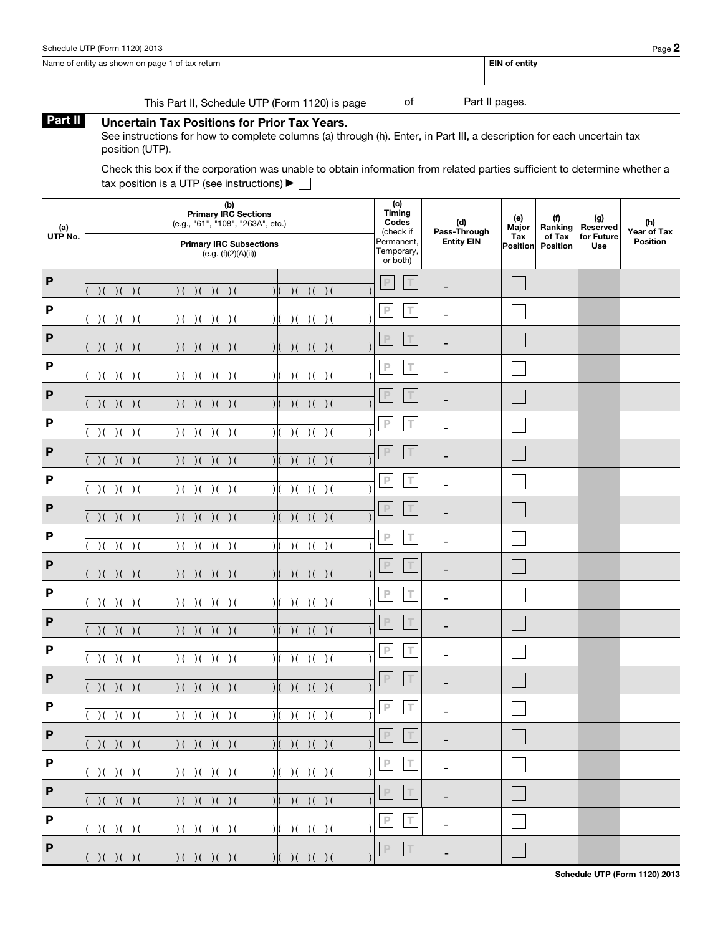| Schedule UTP (Form 1120) 2013 | $P$ age $\boldsymbol{z}$ |
|-------------------------------|--------------------------|
|-------------------------------|--------------------------|

| Name of entity as shown on page 1 of tax return | <b>EIN of entity</b> |
|-------------------------------------------------|----------------------|
|                                                 |                      |

This Part II, Schedule UTP (Form 1120) is page \_\_\_\_\_\_\_ of \_\_\_\_\_\_\_\_Part II pages.

## Part II Uncertain Tax Positions for Prior Tax Years.

See instructions for how to complete columns (a) through (h). Enter, in Part III, a description for each uncertain tax position (UTP).

Check this box if the corporation was unable to obtain information from related parties sufficient to determine whether a tax position is a UTP (see instructions)  $\blacktriangleright \Box$ 

| (a)<br>UTP No. | (b)<br><b>Primary IRC Sections</b><br>(e.g., "61", "108", "263A", etc.)<br><b>Primary IRC Subsections</b><br>(e.g. (f)(2)(A)(ii)) | (c)<br><b>Timing</b><br>Codes<br>(check if<br>Permanent,<br>Temporary,<br>or both) | (d)<br>Pass-Through<br><b>Entity EIN</b> | (e)<br>Major<br>Tax<br>Position | (f)<br>Ranking<br>of Tax<br><b>Position</b> | (g)<br>Reserved<br>for Future<br>Use | (h)<br>Year of Tax<br><b>Position</b> |
|----------------|-----------------------------------------------------------------------------------------------------------------------------------|------------------------------------------------------------------------------------|------------------------------------------|---------------------------------|---------------------------------------------|--------------------------------------|---------------------------------------|
| $\mathsf{P}$   | )( ) ( ) ( )<br>)( ) ( ) ( )<br>)( ) ( ) ( )<br>$\mathcal{U}$<br>$\mathcal{H}$                                                    | $\mathbb P$<br>$\top$                                                              |                                          |                                 |                                             |                                      |                                       |
| P              | )( ) ( ) ( )<br>)( ) ( ) ( )<br>)( ) ( ) ( )<br>$\mathcal{V}$<br>$\overline{\phantom{a}}$                                         | $\overline{\mathsf{P}}$<br>$\top$                                                  | -                                        |                                 |                                             |                                      |                                       |
| P              | )( ) ( ) ( )<br>)( ) ( ) ( )<br>)( ) ( ) ( )<br>$\mathcal{U}$                                                                     | $\mathsf P$<br>T                                                                   |                                          |                                 |                                             |                                      |                                       |
| P              | )( ) ( ) ( )<br>)( ) ( ) ( )<br>)( ) ( ) ( )<br>$\mathcal{V}$<br>$\overline{\phantom{a}}$                                         | $\overline{\mathsf{P}}$<br>$\top$                                                  | ۰                                        |                                 |                                             |                                      |                                       |
| P              | )( ) ( ) ( )<br>)( ) ( ) ( )<br>)( ) ( ) ( )<br>$\mathcal{U}$                                                                     | $\mathsf P$<br>T                                                                   |                                          |                                 |                                             |                                      |                                       |
| P              | )( ) ( ) ( )<br>)( ) ( ) ( )<br>)( ) ( ) ( )<br>$\mathcal{H}$<br>$\overline{\phantom{a}}$                                         | $\mathbb P$<br>$\top$                                                              | ۰                                        |                                 |                                             |                                      |                                       |
| P              | )( ) ( ) ( )<br>)( ) ( ) ( )<br>)( ) ( ) ( )<br>$\mathcal{U}$                                                                     | $\mathbb P$<br>T                                                                   |                                          |                                 |                                             |                                      |                                       |
| P              | )( ) ( ) ( )<br>)( ) ( ) ( )<br>)( ) ( ) ( )<br>$\mathcal{H}$<br>$\overline{\phantom{a}}$                                         | $\mathsf P$<br>$\top$                                                              | ۰                                        |                                 |                                             |                                      |                                       |
| $\mathsf{P}$   | )( ) ( ) ( )<br>)( ) ( ) ( )<br>)( ) ( ) ( )<br>$\mathcal{H}$                                                                     | $\mathbb P$<br>$\top$                                                              |                                          |                                 |                                             |                                      |                                       |
| P              | )( ) ( ) ( )<br>)( ) ( ) ( )<br>)( ) ( ) ( )<br>$\mathcal{H}$<br>$\overline{\phantom{a}}$                                         | $\mathbb P$<br>$\top$                                                              | -                                        |                                 |                                             |                                      |                                       |
| $\mathsf{P}$   | )( ) ( ) ( )<br>)( ) ( ) ( )<br>)( ) ( ) ( )<br>$\mathcal{U}$                                                                     | $\mathbb P$<br>$\top$                                                              |                                          |                                 |                                             |                                      |                                       |
| P              | )( ) ( ) ( )<br>)( ) ( ) ( )<br>)( ) ( ) ( )<br>$\mathcal{H}$<br>$\overline{\phantom{a}}$                                         | $\mathbb P$<br>$\top$                                                              | $\overline{\phantom{0}}$                 |                                 |                                             |                                      |                                       |
| $\mathsf{P}$   | )( ) ( ) ( )<br>)( ) ( ) ( )<br>)( ) ( ) ( )<br>$\mathcal{U}$                                                                     | $\mathsf P$<br>$\top$                                                              |                                          |                                 |                                             |                                      |                                       |
| P              | )( ) ( ) ( )<br>)( ) ( ) ( )<br>)( ) ( ) ( )<br>$\mathcal{H}$<br>$\overline{\phantom{a}}$                                         | $\mathsf P$<br>$\top$                                                              | $\overline{\phantom{0}}$                 |                                 |                                             |                                      |                                       |
| P              | )( ) ( ) ( )<br>)( ) ( ) ( )<br>)( ) ( ) ( )<br>$\mathcal{H}$<br>$\overline{\phantom{a}}$                                         | $\mathsf P$<br>$\top$                                                              |                                          |                                 |                                             |                                      |                                       |
| P              | )( ) ( ) ( )<br>)( ) ( ) ( )<br>)( ) ( ) ( )<br>$\mathcal{H}$<br>$\mathcal{H}$                                                    | $\mathsf P$<br>$\top$                                                              |                                          |                                 |                                             |                                      |                                       |
| P              | )( ) ( ) ( )<br>)( ) ( ) ( ) ( ) ( )<br>$ (-)(-)(-)(-)(-)$                                                                        | $\mathbb P$<br> T                                                                  | $\overline{\phantom{0}}$                 |                                 |                                             |                                      |                                       |
| $\mathsf P$    | )( ) ( ) ( )<br>)( ) ( ) ( ) ( ) ( )<br>)( ) ( ) ( ) ( ) ( )                                                                      | $\mathsf P$<br>$\top$                                                              | ÷,                                       |                                 |                                             |                                      |                                       |
| $\mathsf P$    | )( ) ( ) ( )<br>)( ) ( ) ( ) ( ) ( )<br>)( ) ( ) ( ) ( ) ( )                                                                      | $\mathbb P$<br>$\top$                                                              | $\overline{\phantom{0}}$                 |                                 |                                             |                                      |                                       |
| $\mathsf P$    | )( ) ( ) ( )<br>)( ) ( ) ( ) ( ) ( )<br>)( ) ( ) ( ) ( ) ( )                                                                      | $\mathbb P$<br>$\top$                                                              | $\overline{\phantom{0}}$                 |                                 |                                             |                                      |                                       |
| $\mathsf{P}$   | ( ) ( ) ( ) ( )<br>)( ) ( ) ( ) ( ) ( )<br>)( ) ( ) ( ) ( ) ( )                                                                   | $\mathbb P$<br>$\top$                                                              | $\overline{\phantom{a}}$                 |                                 |                                             |                                      |                                       |